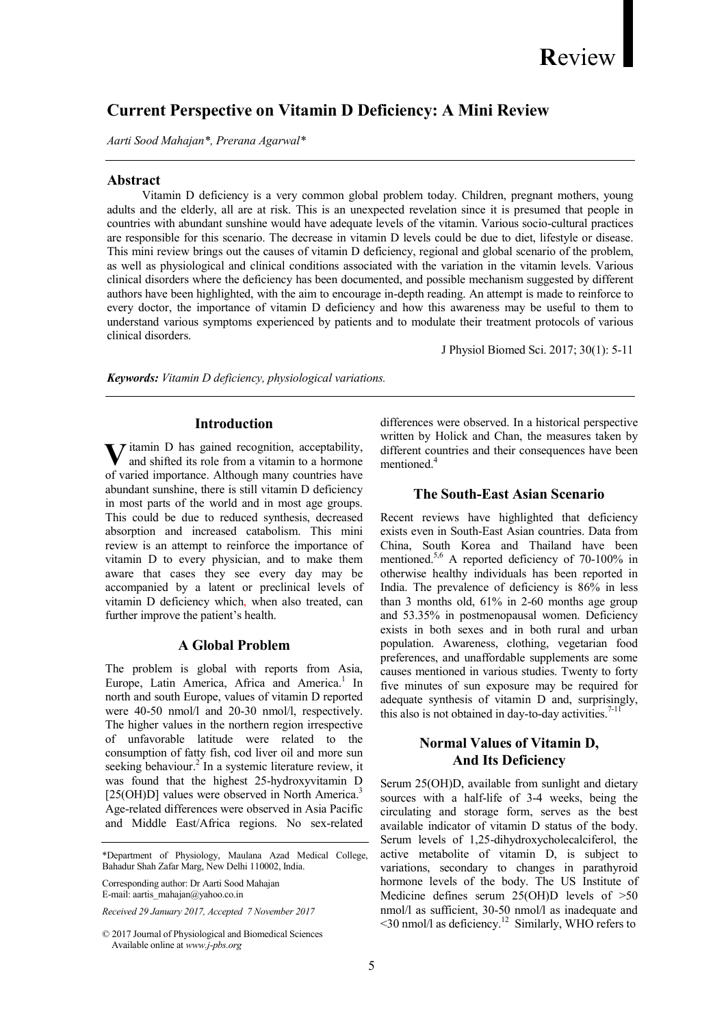# Current Perspective on Vitamin D Deficiency: A Mini Review

Aarti Sood Mahajan\*, Prerana Agarwal\*

#### Abstract

 Vitamin D deficiency is a very common global problem today. Children, pregnant mothers, young adults and the elderly, all are at risk. This is an unexpected revelation since it is presumed that people in countries with abundant sunshine would have adequate levels of the vitamin. Various socio-cultural practices are responsible for this scenario. The decrease in vitamin D levels could be due to diet, lifestyle or disease. This mini review brings out the causes of vitamin D deficiency, regional and global scenario of the problem, as well as physiological and clinical conditions associated with the variation in the vitamin levels. Various clinical disorders where the deficiency has been documented, and possible mechanism suggested by different authors have been highlighted, with the aim to encourage in-depth reading. An attempt is made to reinforce to every doctor, the importance of vitamin D deficiency and how this awareness may be useful to them to understand various symptoms experienced by patients and to modulate their treatment protocols of various clinical disorders.

J Physiol Biomed Sci. 2017; 30(1): 5-11

Keywords: Vitamin D deficiency, physiological variations.

# Introduction

**V** itamin D has gained recognition, acceptability, and shifted its role from a vitamin to a hormone and shifted its role from a vitamin to a hormone of varied importance. Although many countries have abundant sunshine, there is still vitamin D deficiency in most parts of the world and in most age groups. This could be due to reduced synthesis, decreased absorption and increased catabolism. This mini review is an attempt to reinforce the importance of vitamin D to every physician, and to make them aware that cases they see every day may be accompanied by a latent or preclinical levels of vitamin D deficiency which, when also treated, can further improve the patient's health.

#### A Global Problem

The problem is global with reports from Asia, Europe, Latin America, Africa and America.<sup>1</sup> In north and south Europe, values of vitamin D reported were 40-50 nmol/l and 20-30 nmol/l, respectively. The higher values in the northern region irrespective of unfavorable latitude were related to the consumption of fatty fish, cod liver oil and more sun seeking behaviour.<sup>2</sup> In a systemic literature review, it was found that the highest 25-hydroxyvitamin D [25(OH)D] values were observed in North America.<sup>3</sup> Age-related differences were observed in Asia Pacific and Middle East/Africa regions. No sex-related

\*Department of Physiology, Maulana Azad Medical College, Bahadur Shah Zafar Marg, New Delhi 110002, India.

Corresponding author: Dr Aarti Sood Mahajan E-mail: aartis\_mahajan@yahoo.co.in

Received 29 January 2017, Accepted 7 November 2017

differences were observed. In a historical perspective written by Holick and Chan, the measures taken by different countries and their consequences have been mentioned.<sup>4</sup>

### The South-East Asian Scenario

Recent reviews have highlighted that deficiency exists even in South-East Asian countries. Data from China, South Korea and Thailand have been mentioned.5,6 A reported deficiency of 70-100% in otherwise healthy individuals has been reported in India. The prevalence of deficiency is 86% in less than 3 months old, 61% in 2-60 months age group and 53.35% in postmenopausal women. Deficiency exists in both sexes and in both rural and urban population. Awareness, clothing, vegetarian food preferences, and unaffordable supplements are some causes mentioned in various studies. Twenty to forty five minutes of sun exposure may be required for adequate synthesis of vitamin D and, surprisingly, this also is not obtained in day-to-day activities.<sup>7-1</sup>

# Normal Values of Vitamin D, And Its Deficiency

Serum 25(OH)D, available from sunlight and dietary sources with a half-life of 3-4 weeks, being the circulating and storage form, serves as the best available indicator of vitamin D status of the body. Serum levels of 1,25-dihydroxycholecalciferol, the active metabolite of vitamin D, is subject to variations, secondary to changes in parathyroid hormone levels of the body. The US Institute of Medicine defines serum 25(OH)D levels of >50 nmol/l as sufficient, 30-50 nmol/l as inadequate and <30 nmol/l as deficiency.<sup>12</sup> Similarly, WHO refers to

<sup>© 2017</sup> Journal of Physiological and Biomedical Sciences Available online at www.j-pbs.org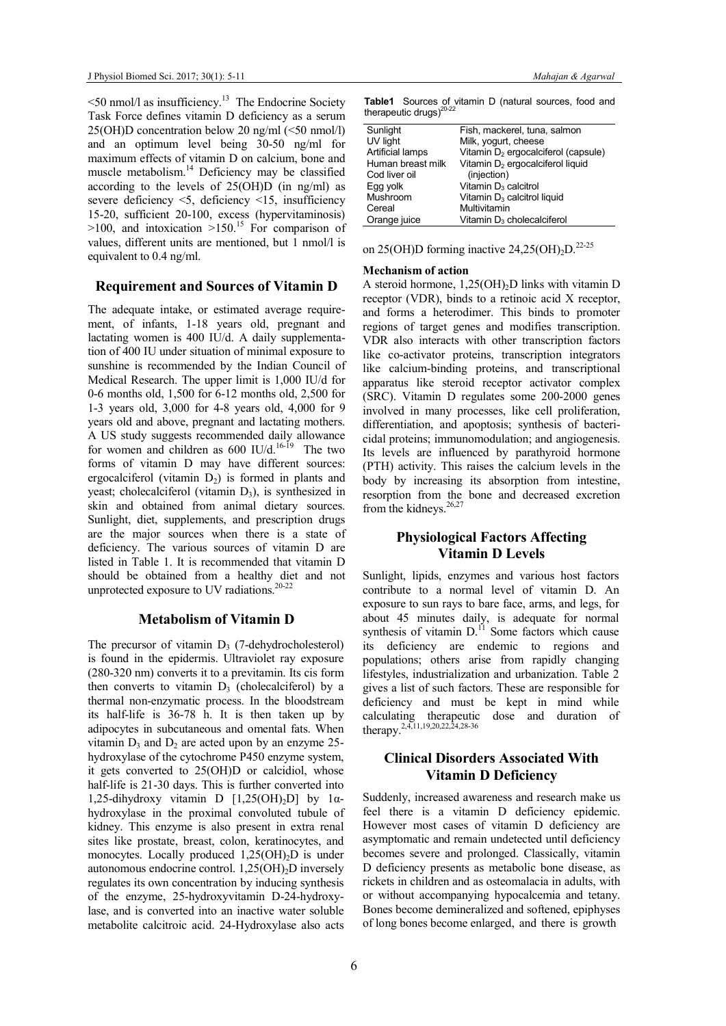$\leq$ 50 nmol/l as insufficiency.<sup>13</sup> The Endocrine Society Task Force defines vitamin D deficiency as a serum 25(OH)D concentration below 20 ng/ml (<50 nmol/l) and an optimum level being 30-50 ng/ml for maximum effects of vitamin D on calcium, bone and muscle metabolism.<sup>14</sup> Deficiency may be classified according to the levels of 25(OH)D (in ng/ml) as severe deficiency <5, deficiency <15, insufficiency 15-20, sufficient 20-100, excess (hypervitaminosis)  $>100$ , and intoxication  $>150$ .<sup>15</sup> For comparison of values, different units are mentioned, but 1 nmol/l is equivalent to 0.4 ng/ml.

#### Requirement and Sources of Vitamin D

The adequate intake, or estimated average requirement, of infants, 1-18 years old, pregnant and lactating women is 400 IU/d. A daily supplementation of 400 IU under situation of minimal exposure to sunshine is recommended by the Indian Council of Medical Research. The upper limit is 1,000 IU/d for 0-6 months old, 1,500 for 6-12 months old, 2,500 for 1-3 years old, 3,000 for 4-8 years old, 4,000 for 9 years old and above, pregnant and lactating mothers. A US study suggests recommended daily allowance for women and children as  $600$  IU/d.<sup>16-19</sup> The two forms of vitamin D may have different sources: ergocalciferol (vitamin  $D_2$ ) is formed in plants and yeast; cholecalciferol (vitamin  $D_3$ ), is synthesized in skin and obtained from animal dietary sources. Sunlight, diet, supplements, and prescription drugs are the major sources when there is a state of deficiency. The various sources of vitamin D are listed in Table 1. It is recommended that vitamin D should be obtained from a healthy diet and not unprotected exposure to UV radiations.<sup>2</sup>

# Metabolism of Vitamin D

The precursor of vitamin  $D_3$  (7-dehydrocholesterol) is found in the epidermis. Ultraviolet ray exposure (280-320 nm) converts it to a previtamin. Its cis form then converts to vitamin  $D_3$  (cholecalciferol) by a thermal non-enzymatic process. In the bloodstream its half-life is 36-78 h. It is then taken up by adipocytes in subcutaneous and omental fats. When vitamin  $D_3$  and  $D_2$  are acted upon by an enzyme 25hydroxylase of the cytochrome P450 enzyme system, it gets converted to 25(OH)D or calcidiol, whose half-life is 21-30 days. This is further converted into 1,25-dihydroxy vitamin D  $[1,25(OH)_2D]$  by 1 $\alpha$ hydroxylase in the proximal convoluted tubule of kidney. This enzyme is also present in extra renal sites like prostate, breast, colon, keratinocytes, and monocytes. Locally produced  $1,25(OH)_{2}D$  is under autonomous endocrine control.  $1,25(OH)_{2}D$  inversely regulates its own concentration by inducing synthesis of the enzyme, 25-hydroxyvitamin D-24-hydroxylase, and is converted into an inactive water soluble metabolite calcitroic acid. 24-Hydroxylase also acts

Table1 Sources of vitamin D (natural sources, food and therapeutic drugs) $^{20-22}$ 

| Sunlight          | Fish, mackerel, tuna, salmon                    |
|-------------------|-------------------------------------------------|
| UV light          | Milk, yogurt, cheese                            |
| Artificial lamps  | Vitamin D <sub>2</sub> ergocalciferol (capsule) |
| Human breast milk | Vitamin D <sub>2</sub> ergocalciferol liquid    |
| Cod liver oil     | (injection)                                     |
| Egg yolk          | Vitamin D <sub>3</sub> calcitrol                |
| Mushroom          | Vitamin D <sub>3</sub> calcitrol liquid         |
| Cereal            | Multivitamin                                    |
| Orange juice      | Vitamin D <sub>3</sub> cholecalciferol          |
|                   |                                                 |

on 25(OH)D forming inactive 24,25(OH)<sub>2</sub> $D$ <sup>22-25</sup>

#### Mechanism of action

A steroid hormone,  $1,25(OH)_2D$  links with vitamin D receptor (VDR), binds to a retinoic acid X receptor, and forms a heterodimer. This binds to promoter regions of target genes and modifies transcription. VDR also interacts with other transcription factors like co-activator proteins, transcription integrators like calcium-binding proteins, and transcriptional apparatus like steroid receptor activator complex (SRC). Vitamin D regulates some 200-2000 genes involved in many processes, like cell proliferation, differentiation, and apoptosis; synthesis of bactericidal proteins; immunomodulation; and angiogenesis. Its levels are influenced by parathyroid hormone (PTH) activity. This raises the calcium levels in the body by increasing its absorption from intestine, resorption from the bone and decreased excretion from the kidneys.<sup>26,2</sup>

# Physiological Factors Affecting Vitamin D Levels

Sunlight, lipids, enzymes and various host factors contribute to a normal level of vitamin D. An exposure to sun rays to bare face, arms, and legs, for about 45 minutes daily, is adequate for normal synthesis of vitamin  $D<sup>11</sup>$  Some factors which cause its deficiency are endemic to regions and populations; others arise from rapidly changing lifestyles, industrialization and urbanization. Table 2 gives a list of such factors. These are responsible for deficiency and must be kept in mind while calculating therapeutic dose and duration of therapy.<sup>2,4,11,19,20,22,24,28-36</sup>

# Clinical Disorders Associated With Vitamin D Deficiency

Suddenly, increased awareness and research make us feel there is a vitamin D deficiency epidemic. However most cases of vitamin D deficiency are asymptomatic and remain undetected until deficiency becomes severe and prolonged. Classically, vitamin D deficiency presents as metabolic bone disease, as rickets in children and as osteomalacia in adults, with or without accompanying hypocalcemia and tetany. Bones become demineralized and softened, epiphyses of long bones become enlarged, and there is growth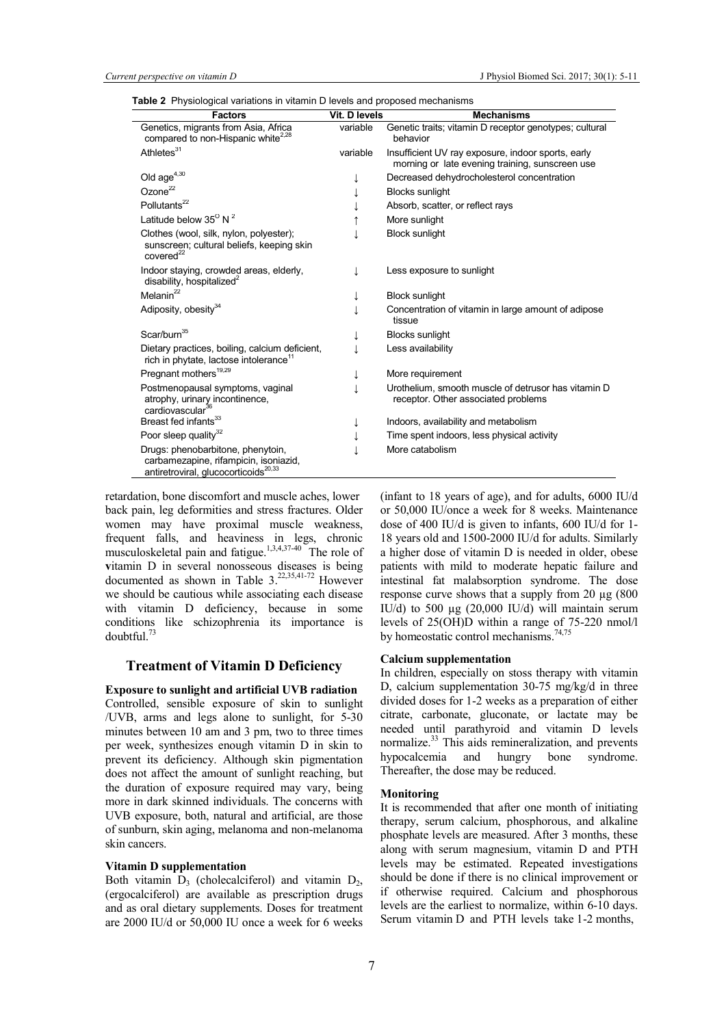| <b>Factors</b>                                                                                                                 | Vit. D levels | <b>Mechanisms</b>                                                                                     |
|--------------------------------------------------------------------------------------------------------------------------------|---------------|-------------------------------------------------------------------------------------------------------|
| Genetics, migrants from Asia, Africa<br>compared to non-Hispanic white <sup>2,28</sup>                                         | variable      | Genetic traits; vitamin D receptor genotypes; cultural<br>behavior                                    |
| Athletes <sup>31</sup>                                                                                                         | variable      | Insufficient UV ray exposure, indoor sports, early<br>morning or late evening training, sunscreen use |
| Old $age^{4,30}$                                                                                                               |               | Decreased dehydrocholesterol concentration                                                            |
| Ozone $^{22}$                                                                                                                  |               | <b>Blocks sunlight</b>                                                                                |
| Pollutants <sup>22</sup>                                                                                                       |               | Absorb, scatter, or reflect rays                                                                      |
| Latitude below $35^{\circ}$ N $^2$                                                                                             |               | More sunlight                                                                                         |
| Clothes (wool, silk, nylon, polyester);<br>sunscreen; cultural beliefs, keeping skin<br>covered <sup>22</sup>                  |               | <b>Block sunlight</b>                                                                                 |
| Indoor staying, crowded areas, elderly,<br>disability, hospitalized <sup>2</sup>                                               |               | Less exposure to sunlight                                                                             |
| Melanin <sup>22</sup>                                                                                                          |               | <b>Block sunlight</b>                                                                                 |
| Adiposity, obesity <sup>34</sup>                                                                                               |               | Concentration of vitamin in large amount of adipose<br>tissue                                         |
| Scar/burn <sup>35</sup>                                                                                                        |               | <b>Blocks sunlight</b>                                                                                |
| Dietary practices, boiling, calcium deficient,<br>rich in phytate, lactose intolerance <sup>11</sup>                           |               | Less availability                                                                                     |
| Pregnant mothers <sup>19,29</sup>                                                                                              |               | More requirement                                                                                      |
| Postmenopausal symptoms, vaginal<br>atrophy, urinary incontinence,<br>cardiovascular <sup>36</sup>                             |               | Urothelium, smooth muscle of detrusor has vitamin D<br>receptor. Other associated problems            |
| Breast fed infants <sup>33</sup>                                                                                               |               | Indoors, availability and metabolism                                                                  |
| Poor sleep quality <sup>32</sup>                                                                                               |               | Time spent indoors, less physical activity                                                            |
| Drugs: phenobarbitone, phenytoin,<br>carbamezapine, rifampicin, isoniazid,<br>antiretroviral, glucocorticoids <sup>20,33</sup> |               | More catabolism                                                                                       |

Table 2 Physiological variations in vitamin D levels and proposed mechanisms

retardation, bone discomfort and muscle aches, lower back pain, leg deformities and stress fractures. Older women may have proximal muscle weakness, frequent falls, and heaviness in legs, chronic musculoskeletal pain and fatigue.<sup>1,3,4,37-40</sup> The role of vitamin D in several nonosseous diseases is being documented as shown in Table  $3.^{22,35,41-72}$  However we should be cautious while associating each disease with vitamin D deficiency, because in some conditions like schizophrenia its importance is doubtful.<sup>73</sup>

#### Treatment of Vitamin D Deficiency

#### Exposure to sunlight and artificial UVB radiation Controlled, sensible exposure of skin to sunlight /UVB, arms and legs alone to sunlight, for 5-30 minutes between 10 am and 3 pm, two to three times per week, synthesizes enough vitamin D in skin to prevent its deficiency. Although skin pigmentation does not affect the amount of sunlight reaching, but the duration of exposure required may vary, being more in dark skinned individuals. The concerns with UVB exposure, both, natural and artificial, are those of sunburn, skin aging, melanoma and non-melanoma skin cancers.

#### Vitamin D supplementation

Both vitamin  $D_3$  (cholecalciferol) and vitamin  $D_2$ , (ergocalciferol) are available as prescription drugs and as oral dietary supplements. Doses for treatment are 2000 IU/d or 50,000 IU once a week for 6 weeks

(infant to 18 years of age), and for adults, 6000 IU/d or 50,000 IU/once a week for 8 weeks. Maintenance dose of 400 IU/d is given to infants, 600 IU/d for 1- 18 years old and 1500-2000 IU/d for adults. Similarly a higher dose of vitamin D is needed in older, obese patients with mild to moderate hepatic failure and intestinal fat malabsorption syndrome. The dose response curve shows that a supply from 20 µg (800 IU/d) to 500 µg (20,000 IU/d) will maintain serum levels of 25(OH)D within a range of 75-220 nmol/l by homeostatic control mechanisms.<sup>74,75</sup>

#### Calcium supplementation

In children, especially on stoss therapy with vitamin D, calcium supplementation 30-75 mg/kg/d in three divided doses for 1-2 weeks as a preparation of either citrate, carbonate, gluconate, or lactate may be needed until parathyroid and vitamin D levels normalize.<sup>33</sup> This aids remineralization, and prevents hypocalcemia and hungry bone syndrome. Thereafter, the dose may be reduced.

#### Monitoring

It is recommended that after one month of initiating therapy, serum calcium, phosphorous, and alkaline phosphate levels are measured. After 3 months, these along with serum magnesium, vitamin D and PTH levels may be estimated. Repeated investigations should be done if there is no clinical improvement or if otherwise required. Calcium and phosphorous levels are the earliest to normalize, within 6-10 days. Serum vitamin D and PTH levels take 1-2 months,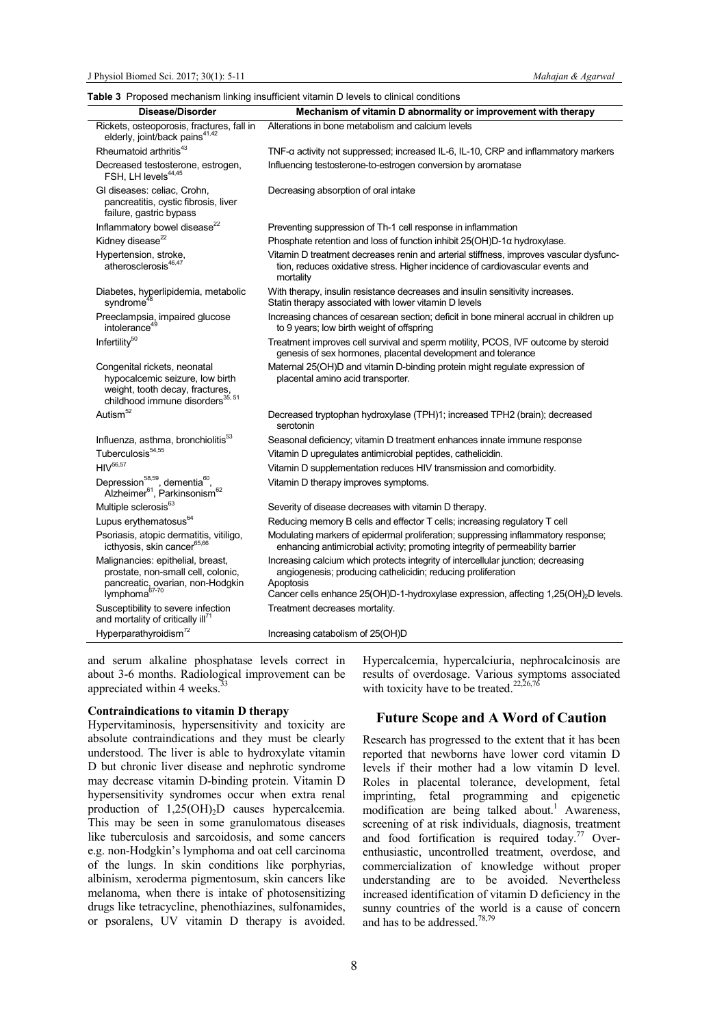#### Table 3 Proposed mechanism linking insufficient vitamin D levels to clinical conditions

| Rickets, osteoporosis, fractures, fall in<br>Alterations in bone metabolism and calcium levels<br>elderly, joint/back pains <sup>41,42</sup><br>Rheumatoid arthritis <sup>43</sup><br>TNF-a activity not suppressed; increased IL-6, IL-10, CRP and inflammatory markers<br>Influencing testosterone-to-estrogen conversion by aromatase<br>Decreased testosterone, estrogen,<br>FSH, LH levels <sup>44,45</sup><br>GI diseases: celiac. Crohn.<br>Decreasing absorption of oral intake<br>pancreatitis, cystic fibrosis, liver<br>failure, gastric bypass<br>Inflammatory bowel disease <sup>22</sup><br>Preventing suppression of Th-1 cell response in inflammation<br>Kidney disease <sup>22</sup><br>Phosphate retention and loss of function inhibit 25(OH)D-1a hydroxylase.<br>Hypertension, stroke,<br>Vitamin D treatment decreases renin and arterial stiffness, improves vascular dysfunc-<br>atherosclerosis <sup>46,47</sup><br>tion, reduces oxidative stress. Higher incidence of cardiovascular events and<br>mortality<br>Diabetes, hyperlipidemia, metabolic<br>With therapy, insulin resistance decreases and insulin sensitivity increases.<br>syndrome <sup>48</sup><br>Statin therapy associated with lower vitamin D levels<br>Preeclampsia, impaired glucose<br>Increasing chances of cesarean section; deficit in bone mineral accrual in children up<br>intolerance <sup>49</sup><br>to 9 years; low birth weight of offspring<br>Infertility <sup>50</sup><br>Treatment improves cell survival and sperm motility, PCOS, IVF outcome by steroid<br>genesis of sex hormones, placental development and tolerance<br>Maternal 25(OH)D and vitamin D-binding protein might regulate expression of<br>Congenital rickets, neonatal<br>hypocalcemic seizure, low birth<br>placental amino acid transporter.<br>weight, tooth decay, fractures,<br>childhood immune disorders <sup>35, 51</sup><br>Autism <sup>52</sup><br>Decreased tryptophan hydroxylase (TPH)1; increased TPH2 (brain); decreased<br>serotonin<br>Influenza, asthma, bronchiolitis <sup>53</sup><br>Seasonal deficiency; vitamin D treatment enhances innate immune response<br>Tuberculosis <sup>54,55</sup><br>Vitamin D upregulates antimicrobial peptides, cathelicidin.<br>$HIV^{56,57}$<br>Vitamin D supplementation reduces HIV transmission and comorbidity.<br>Depression <sup>58,59</sup> , dementia <sup>60</sup> ,<br>Alzheimer <sup>61</sup> , Parkinsonism <sup>62</sup><br>Vitamin D therapy improves symptoms.<br>Multiple sclerosis <sup>63</sup><br>Severity of disease decreases with vitamin D therapy.<br>Lupus erythematosus <sup>64</sup><br>Reducing memory B cells and effector T cells; increasing regulatory T cell<br>Psoriasis, atopic dermatitis, vitiligo,<br>Modulating markers of epidermal proliferation; suppressing inflammatory response;<br>icthyosis, skin cancer65,66<br>enhancing antimicrobial activity; promoting integrity of permeability barrier<br>Increasing calcium which protects integrity of intercellular junction; decreasing<br>Malignancies: epithelial, breast,<br>prostate, non-small cell, colonic,<br>angiogenesis; producing cathelicidin; reducing proliferation<br>pancreatic, ovarian, non-Hodgkin<br>Apoptosis<br>lymphoma67-70<br>Cancer cells enhance 25(OH)D-1-hydroxylase expression, affecting 1,25(OH) <sub>2</sub> D levels.<br>Susceptibility to severe infection<br>Treatment decreases mortality.<br>and mortality of critically ill <sup>11</sup><br>Hyperparathyroidism <sup>72</sup><br>Increasing catabolism of 25(OH)D | Disease/Disorder | able of a reposed meditation miking insumation vitamin D idvels to cirilical conditions<br>Mechanism of vitamin D abnormality or improvement with therapy |
|-------------------------------------------------------------------------------------------------------------------------------------------------------------------------------------------------------------------------------------------------------------------------------------------------------------------------------------------------------------------------------------------------------------------------------------------------------------------------------------------------------------------------------------------------------------------------------------------------------------------------------------------------------------------------------------------------------------------------------------------------------------------------------------------------------------------------------------------------------------------------------------------------------------------------------------------------------------------------------------------------------------------------------------------------------------------------------------------------------------------------------------------------------------------------------------------------------------------------------------------------------------------------------------------------------------------------------------------------------------------------------------------------------------------------------------------------------------------------------------------------------------------------------------------------------------------------------------------------------------------------------------------------------------------------------------------------------------------------------------------------------------------------------------------------------------------------------------------------------------------------------------------------------------------------------------------------------------------------------------------------------------------------------------------------------------------------------------------------------------------------------------------------------------------------------------------------------------------------------------------------------------------------------------------------------------------------------------------------------------------------------------------------------------------------------------------------------------------------------------------------------------------------------------------------------------------------------------------------------------------------------------------------------------------------------------------------------------------------------------------------------------------------------------------------------------------------------------------------------------------------------------------------------------------------------------------------------------------------------------------------------------------------------------------------------------------------------------------------------------------------------------------------------------------------------------------------------------------------------------------------------------------------------------------------------------------------------------------------------------------------------------------------------------------------------------------------------------------------------------------------------------------------------------------------------------------------------------------------|------------------|-----------------------------------------------------------------------------------------------------------------------------------------------------------|
|                                                                                                                                                                                                                                                                                                                                                                                                                                                                                                                                                                                                                                                                                                                                                                                                                                                                                                                                                                                                                                                                                                                                                                                                                                                                                                                                                                                                                                                                                                                                                                                                                                                                                                                                                                                                                                                                                                                                                                                                                                                                                                                                                                                                                                                                                                                                                                                                                                                                                                                                                                                                                                                                                                                                                                                                                                                                                                                                                                                                                                                                                                                                                                                                                                                                                                                                                                                                                                                                                                                                                                                                 |                  |                                                                                                                                                           |
|                                                                                                                                                                                                                                                                                                                                                                                                                                                                                                                                                                                                                                                                                                                                                                                                                                                                                                                                                                                                                                                                                                                                                                                                                                                                                                                                                                                                                                                                                                                                                                                                                                                                                                                                                                                                                                                                                                                                                                                                                                                                                                                                                                                                                                                                                                                                                                                                                                                                                                                                                                                                                                                                                                                                                                                                                                                                                                                                                                                                                                                                                                                                                                                                                                                                                                                                                                                                                                                                                                                                                                                                 |                  |                                                                                                                                                           |
|                                                                                                                                                                                                                                                                                                                                                                                                                                                                                                                                                                                                                                                                                                                                                                                                                                                                                                                                                                                                                                                                                                                                                                                                                                                                                                                                                                                                                                                                                                                                                                                                                                                                                                                                                                                                                                                                                                                                                                                                                                                                                                                                                                                                                                                                                                                                                                                                                                                                                                                                                                                                                                                                                                                                                                                                                                                                                                                                                                                                                                                                                                                                                                                                                                                                                                                                                                                                                                                                                                                                                                                                 |                  |                                                                                                                                                           |
|                                                                                                                                                                                                                                                                                                                                                                                                                                                                                                                                                                                                                                                                                                                                                                                                                                                                                                                                                                                                                                                                                                                                                                                                                                                                                                                                                                                                                                                                                                                                                                                                                                                                                                                                                                                                                                                                                                                                                                                                                                                                                                                                                                                                                                                                                                                                                                                                                                                                                                                                                                                                                                                                                                                                                                                                                                                                                                                                                                                                                                                                                                                                                                                                                                                                                                                                                                                                                                                                                                                                                                                                 |                  |                                                                                                                                                           |
|                                                                                                                                                                                                                                                                                                                                                                                                                                                                                                                                                                                                                                                                                                                                                                                                                                                                                                                                                                                                                                                                                                                                                                                                                                                                                                                                                                                                                                                                                                                                                                                                                                                                                                                                                                                                                                                                                                                                                                                                                                                                                                                                                                                                                                                                                                                                                                                                                                                                                                                                                                                                                                                                                                                                                                                                                                                                                                                                                                                                                                                                                                                                                                                                                                                                                                                                                                                                                                                                                                                                                                                                 |                  |                                                                                                                                                           |
|                                                                                                                                                                                                                                                                                                                                                                                                                                                                                                                                                                                                                                                                                                                                                                                                                                                                                                                                                                                                                                                                                                                                                                                                                                                                                                                                                                                                                                                                                                                                                                                                                                                                                                                                                                                                                                                                                                                                                                                                                                                                                                                                                                                                                                                                                                                                                                                                                                                                                                                                                                                                                                                                                                                                                                                                                                                                                                                                                                                                                                                                                                                                                                                                                                                                                                                                                                                                                                                                                                                                                                                                 |                  |                                                                                                                                                           |
|                                                                                                                                                                                                                                                                                                                                                                                                                                                                                                                                                                                                                                                                                                                                                                                                                                                                                                                                                                                                                                                                                                                                                                                                                                                                                                                                                                                                                                                                                                                                                                                                                                                                                                                                                                                                                                                                                                                                                                                                                                                                                                                                                                                                                                                                                                                                                                                                                                                                                                                                                                                                                                                                                                                                                                                                                                                                                                                                                                                                                                                                                                                                                                                                                                                                                                                                                                                                                                                                                                                                                                                                 |                  |                                                                                                                                                           |
|                                                                                                                                                                                                                                                                                                                                                                                                                                                                                                                                                                                                                                                                                                                                                                                                                                                                                                                                                                                                                                                                                                                                                                                                                                                                                                                                                                                                                                                                                                                                                                                                                                                                                                                                                                                                                                                                                                                                                                                                                                                                                                                                                                                                                                                                                                                                                                                                                                                                                                                                                                                                                                                                                                                                                                                                                                                                                                                                                                                                                                                                                                                                                                                                                                                                                                                                                                                                                                                                                                                                                                                                 |                  |                                                                                                                                                           |
|                                                                                                                                                                                                                                                                                                                                                                                                                                                                                                                                                                                                                                                                                                                                                                                                                                                                                                                                                                                                                                                                                                                                                                                                                                                                                                                                                                                                                                                                                                                                                                                                                                                                                                                                                                                                                                                                                                                                                                                                                                                                                                                                                                                                                                                                                                                                                                                                                                                                                                                                                                                                                                                                                                                                                                                                                                                                                                                                                                                                                                                                                                                                                                                                                                                                                                                                                                                                                                                                                                                                                                                                 |                  |                                                                                                                                                           |
|                                                                                                                                                                                                                                                                                                                                                                                                                                                                                                                                                                                                                                                                                                                                                                                                                                                                                                                                                                                                                                                                                                                                                                                                                                                                                                                                                                                                                                                                                                                                                                                                                                                                                                                                                                                                                                                                                                                                                                                                                                                                                                                                                                                                                                                                                                                                                                                                                                                                                                                                                                                                                                                                                                                                                                                                                                                                                                                                                                                                                                                                                                                                                                                                                                                                                                                                                                                                                                                                                                                                                                                                 |                  |                                                                                                                                                           |
|                                                                                                                                                                                                                                                                                                                                                                                                                                                                                                                                                                                                                                                                                                                                                                                                                                                                                                                                                                                                                                                                                                                                                                                                                                                                                                                                                                                                                                                                                                                                                                                                                                                                                                                                                                                                                                                                                                                                                                                                                                                                                                                                                                                                                                                                                                                                                                                                                                                                                                                                                                                                                                                                                                                                                                                                                                                                                                                                                                                                                                                                                                                                                                                                                                                                                                                                                                                                                                                                                                                                                                                                 |                  |                                                                                                                                                           |
|                                                                                                                                                                                                                                                                                                                                                                                                                                                                                                                                                                                                                                                                                                                                                                                                                                                                                                                                                                                                                                                                                                                                                                                                                                                                                                                                                                                                                                                                                                                                                                                                                                                                                                                                                                                                                                                                                                                                                                                                                                                                                                                                                                                                                                                                                                                                                                                                                                                                                                                                                                                                                                                                                                                                                                                                                                                                                                                                                                                                                                                                                                                                                                                                                                                                                                                                                                                                                                                                                                                                                                                                 |                  |                                                                                                                                                           |
|                                                                                                                                                                                                                                                                                                                                                                                                                                                                                                                                                                                                                                                                                                                                                                                                                                                                                                                                                                                                                                                                                                                                                                                                                                                                                                                                                                                                                                                                                                                                                                                                                                                                                                                                                                                                                                                                                                                                                                                                                                                                                                                                                                                                                                                                                                                                                                                                                                                                                                                                                                                                                                                                                                                                                                                                                                                                                                                                                                                                                                                                                                                                                                                                                                                                                                                                                                                                                                                                                                                                                                                                 |                  |                                                                                                                                                           |
|                                                                                                                                                                                                                                                                                                                                                                                                                                                                                                                                                                                                                                                                                                                                                                                                                                                                                                                                                                                                                                                                                                                                                                                                                                                                                                                                                                                                                                                                                                                                                                                                                                                                                                                                                                                                                                                                                                                                                                                                                                                                                                                                                                                                                                                                                                                                                                                                                                                                                                                                                                                                                                                                                                                                                                                                                                                                                                                                                                                                                                                                                                                                                                                                                                                                                                                                                                                                                                                                                                                                                                                                 |                  |                                                                                                                                                           |
|                                                                                                                                                                                                                                                                                                                                                                                                                                                                                                                                                                                                                                                                                                                                                                                                                                                                                                                                                                                                                                                                                                                                                                                                                                                                                                                                                                                                                                                                                                                                                                                                                                                                                                                                                                                                                                                                                                                                                                                                                                                                                                                                                                                                                                                                                                                                                                                                                                                                                                                                                                                                                                                                                                                                                                                                                                                                                                                                                                                                                                                                                                                                                                                                                                                                                                                                                                                                                                                                                                                                                                                                 |                  |                                                                                                                                                           |
|                                                                                                                                                                                                                                                                                                                                                                                                                                                                                                                                                                                                                                                                                                                                                                                                                                                                                                                                                                                                                                                                                                                                                                                                                                                                                                                                                                                                                                                                                                                                                                                                                                                                                                                                                                                                                                                                                                                                                                                                                                                                                                                                                                                                                                                                                                                                                                                                                                                                                                                                                                                                                                                                                                                                                                                                                                                                                                                                                                                                                                                                                                                                                                                                                                                                                                                                                                                                                                                                                                                                                                                                 |                  |                                                                                                                                                           |
|                                                                                                                                                                                                                                                                                                                                                                                                                                                                                                                                                                                                                                                                                                                                                                                                                                                                                                                                                                                                                                                                                                                                                                                                                                                                                                                                                                                                                                                                                                                                                                                                                                                                                                                                                                                                                                                                                                                                                                                                                                                                                                                                                                                                                                                                                                                                                                                                                                                                                                                                                                                                                                                                                                                                                                                                                                                                                                                                                                                                                                                                                                                                                                                                                                                                                                                                                                                                                                                                                                                                                                                                 |                  |                                                                                                                                                           |
|                                                                                                                                                                                                                                                                                                                                                                                                                                                                                                                                                                                                                                                                                                                                                                                                                                                                                                                                                                                                                                                                                                                                                                                                                                                                                                                                                                                                                                                                                                                                                                                                                                                                                                                                                                                                                                                                                                                                                                                                                                                                                                                                                                                                                                                                                                                                                                                                                                                                                                                                                                                                                                                                                                                                                                                                                                                                                                                                                                                                                                                                                                                                                                                                                                                                                                                                                                                                                                                                                                                                                                                                 |                  |                                                                                                                                                           |
|                                                                                                                                                                                                                                                                                                                                                                                                                                                                                                                                                                                                                                                                                                                                                                                                                                                                                                                                                                                                                                                                                                                                                                                                                                                                                                                                                                                                                                                                                                                                                                                                                                                                                                                                                                                                                                                                                                                                                                                                                                                                                                                                                                                                                                                                                                                                                                                                                                                                                                                                                                                                                                                                                                                                                                                                                                                                                                                                                                                                                                                                                                                                                                                                                                                                                                                                                                                                                                                                                                                                                                                                 |                  |                                                                                                                                                           |
|                                                                                                                                                                                                                                                                                                                                                                                                                                                                                                                                                                                                                                                                                                                                                                                                                                                                                                                                                                                                                                                                                                                                                                                                                                                                                                                                                                                                                                                                                                                                                                                                                                                                                                                                                                                                                                                                                                                                                                                                                                                                                                                                                                                                                                                                                                                                                                                                                                                                                                                                                                                                                                                                                                                                                                                                                                                                                                                                                                                                                                                                                                                                                                                                                                                                                                                                                                                                                                                                                                                                                                                                 |                  |                                                                                                                                                           |
|                                                                                                                                                                                                                                                                                                                                                                                                                                                                                                                                                                                                                                                                                                                                                                                                                                                                                                                                                                                                                                                                                                                                                                                                                                                                                                                                                                                                                                                                                                                                                                                                                                                                                                                                                                                                                                                                                                                                                                                                                                                                                                                                                                                                                                                                                                                                                                                                                                                                                                                                                                                                                                                                                                                                                                                                                                                                                                                                                                                                                                                                                                                                                                                                                                                                                                                                                                                                                                                                                                                                                                                                 |                  |                                                                                                                                                           |
|                                                                                                                                                                                                                                                                                                                                                                                                                                                                                                                                                                                                                                                                                                                                                                                                                                                                                                                                                                                                                                                                                                                                                                                                                                                                                                                                                                                                                                                                                                                                                                                                                                                                                                                                                                                                                                                                                                                                                                                                                                                                                                                                                                                                                                                                                                                                                                                                                                                                                                                                                                                                                                                                                                                                                                                                                                                                                                                                                                                                                                                                                                                                                                                                                                                                                                                                                                                                                                                                                                                                                                                                 |                  |                                                                                                                                                           |

and serum alkaline phosphatase levels correct in about 3-6 months. Radiological improvement can be appreciated within 4 weeks.<sup>33</sup>

#### Contraindications to vitamin D therapy

Hypervitaminosis, hypersensitivity and toxicity are absolute contraindications and they must be clearly understood. The liver is able to hydroxylate vitamin D but chronic liver disease and nephrotic syndrome may decrease vitamin D-binding protein. Vitamin D hypersensitivity syndromes occur when extra renal production of  $1,25(OH)_{2}D$  causes hypercalcemia. This may be seen in some granulomatous diseases like tuberculosis and sarcoidosis, and some cancers e.g. non-Hodgkin's lymphoma and oat cell carcinoma of the lungs. In skin conditions like porphyrias, albinism, xeroderma pigmentosum, skin cancers like melanoma, when there is intake of photosensitizing drugs like tetracycline, phenothiazines, sulfonamides, or psoralens, UV vitamin D therapy is avoided.

Hypercalcemia, hypercalciuria, nephrocalcinosis are results of overdosage. Various symptoms associated with toxicity have to be treated.<sup>22,26,76</sup>

#### Future Scope and A Word of Caution

Research has progressed to the extent that it has been reported that newborns have lower cord vitamin D levels if their mother had a low vitamin D level. Roles in placental tolerance, development, fetal imprinting, fetal programming and epigenetic modification are being talked about.<sup>1</sup> Awareness, screening of at risk individuals, diagnosis, treatment and food fortification is required today.<sup>77</sup> Overenthusiastic, uncontrolled treatment, overdose, and commercialization of knowledge without proper understanding are to be avoided. Nevertheless increased identification of vitamin D deficiency in the sunny countries of the world is a cause of concern and has to be addressed.78,79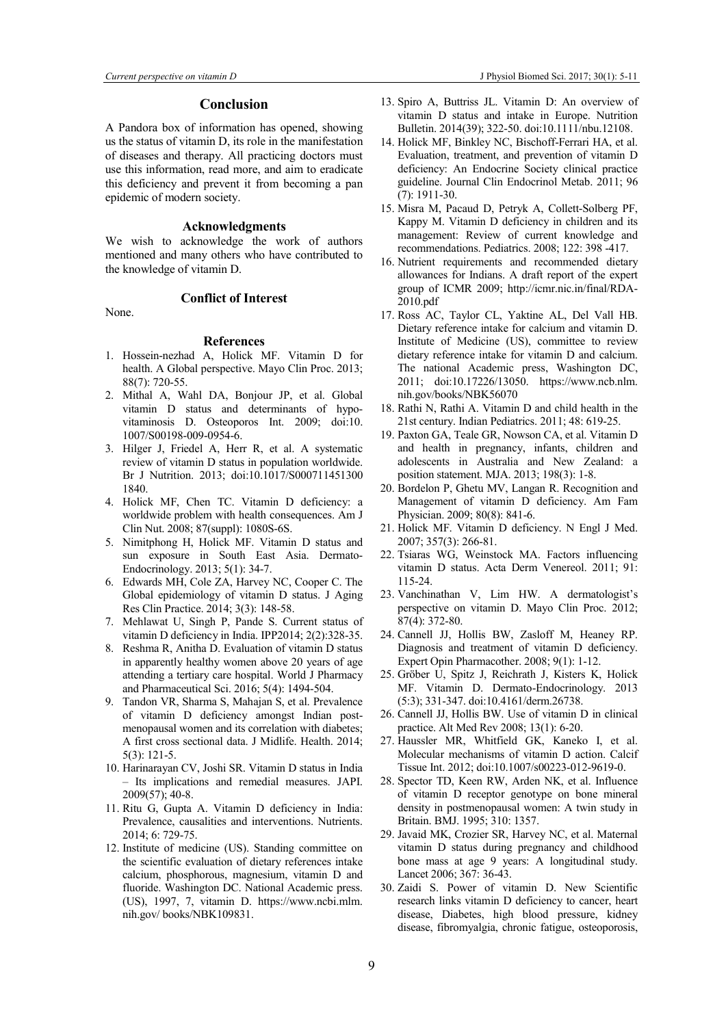### Conclusion

A Pandora box of information has opened, showing us the status of vitamin D, its role in the manifestation of diseases and therapy. All practicing doctors must use this information, read more, and aim to eradicate this deficiency and prevent it from becoming a pan epidemic of modern society.

#### Acknowledgments

We wish to acknowledge the work of authors mentioned and many others who have contributed to the knowledge of vitamin D.

None.

# References

Conflict of Interest

- 1. Hossein-nezhad A, Holick MF. Vitamin D for health. A Global perspective. Mayo Clin Proc. 2013; 88(7): 720-55.
- 2. Mithal A, Wahl DA, Bonjour JP, et al. Global vitamin D status and determinants of hypovitaminosis D. Osteoporos Int. 2009; doi:10. 1007/S00198-009-0954-6.
- 3. Hilger J, Friedel A, Herr R, et al. A systematic review of vitamin D status in population worldwide. Br J Nutrition. 2013; doi:10.1017/S000711451300 1840.
- 4. Holick MF, Chen TC. Vitamin D deficiency: a worldwide problem with health consequences. Am J Clin Nut. 2008; 87(suppl): 1080S-6S.
- 5. Nimitphong H, Holick MF. Vitamin D status and sun exposure in South East Asia. Dermato-Endocrinology. 2013; 5(1): 34-7.
- 6. Edwards MH, Cole ZA, Harvey NC, Cooper C. The Global epidemiology of vitamin D status. J Aging Res Clin Practice. 2014; 3(3): 148-58.
- 7. Mehlawat U, Singh P, Pande S. Current status of vitamin D deficiency in India. IPP2014; 2(2):328-35.
- 8. Reshma R, Anitha D. Evaluation of vitamin D status in apparently healthy women above 20 years of age attending a tertiary care hospital. World J Pharmacy and Pharmaceutical Sci. 2016; 5(4): 1494-504.
- 9. Tandon VR, Sharma S, Mahajan S, et al. Prevalence of vitamin D deficiency amongst Indian postmenopausal women and its correlation with diabetes; A first cross sectional data. J Midlife. Health. 2014; 5(3): 121-5.
- 10. Harinarayan CV, Joshi SR. Vitamin D status in India – Its implications and remedial measures. JAPI. 2009(57); 40-8.
- 11. Ritu G, Gupta A. Vitamin D deficiency in India: Prevalence, causalities and interventions. Nutrients. 2014; 6: 729-75.
- 12. Institute of medicine (US). Standing committee on the scientific evaluation of dietary references intake calcium, phosphorous, magnesium, vitamin D and fluoride. Washington DC. National Academic press. (US), 1997, 7, vitamin D. https://www.ncbi.mlm. nih.gov/ books/NBK109831.
- 13. Spiro A, Buttriss JL. Vitamin D: An overview of vitamin D status and intake in Europe. Nutrition Bulletin. 2014(39); 322-50. doi:10.1111/nbu.12108.
- 14. Holick MF, Binkley NC, Bischoff-Ferrari HA, et al. Evaluation, treatment, and prevention of vitamin D deficiency: An Endocrine Society clinical practice guideline. Journal Clin Endocrinol Metab. 2011; 96 (7): 1911-30.
- 15. Misra M, Pacaud D, Petryk A, Collett-Solberg PF, Kappy M. Vitamin D deficiency in children and its management: Review of current knowledge and recommendations. Pediatrics. 2008; 122: 398 -417.
- 16. Nutrient requirements and recommended dietary allowances for Indians. A draft report of the expert group of ICMR 2009; http://icmr.nic.in/final/RDA-2010.pdf
- 17. Ross AC, Taylor CL, Yaktine AL, Del Vall HB. Dietary reference intake for calcium and vitamin D. Institute of Medicine (US), committee to review dietary reference intake for vitamin D and calcium. The national Academic press, Washington DC, 2011; doi:10.17226/13050. https://www.ncb.nlm. nih.gov/books/NBK56070
- 18. Rathi N, Rathi A. Vitamin D and child health in the 21st century. Indian Pediatrics. 2011; 48: 619-25.
- 19. Paxton GA, Teale GR, Nowson CA, et al. Vitamin D and health in pregnancy, infants, children and adolescents in Australia and New Zealand: a position statement. MJA. 2013; 198(3): 1-8.
- 20. Bordelon P, Ghetu MV, Langan R. Recognition and Management of vitamin D deficiency. Am Fam Physician. 2009; 80(8): 841-6.
- 21. Holick MF. Vitamin D deficiency. N Engl J Med. 2007; 357(3): 266-81.
- 22. Tsiaras WG, Weinstock MA. Factors influencing vitamin D status. Acta Derm Venereol. 2011; 91: 115-24.
- 23. Vanchinathan V, Lim HW. A dermatologist's perspective on vitamin D. Mayo Clin Proc. 2012; 87(4): 372-80.
- 24. Cannell JJ, Hollis BW, Zasloff M, Heaney RP. Diagnosis and treatment of vitamin D deficiency. Expert Opin Pharmacother. 2008; 9(1): 1-12.
- 25. Gröber U, Spitz J, Reichrath J, Kisters K, Holick MF. Vitamin D. Dermato-Endocrinology. 2013 (5:3); 331-347. doi:10.4161/derm.26738.
- 26. Cannell JJ, Hollis BW. Use of vitamin D in clinical practice. Alt Med Rev 2008; 13(1): 6-20.
- 27. Haussler MR, Whitfield GK, Kaneko I, et al. Molecular mechanisms of vitamin D action. Calcif Tissue Int. 2012; doi:10.1007/s00223-012-9619-0.
- 28. Spector TD, Keen RW, Arden NK, et al. Influence of vitamin D receptor genotype on bone mineral density in postmenopausal women: A twin study in Britain. BMJ. 1995; 310: 1357.
- 29. Javaid MK, Crozier SR, Harvey NC, et al. Maternal vitamin D status during pregnancy and childhood bone mass at age 9 years: A longitudinal study. Lancet 2006; 367: 36-43.
- 30. Zaidi S. Power of vitamin D. New Scientific research links vitamin D deficiency to cancer, heart disease, Diabetes, high blood pressure, kidney disease, fibromyalgia, chronic fatigue, osteoporosis,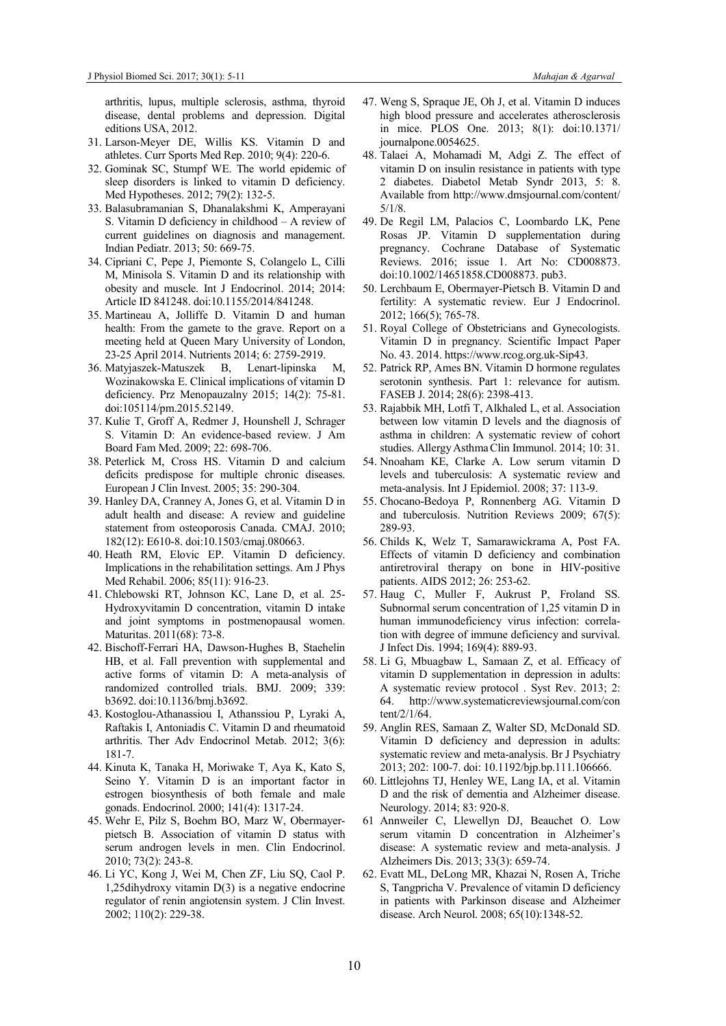arthritis, lupus, multiple sclerosis, asthma, thyroid disease, dental problems and depression. Digital editions USA, 2012.

- 31. Larson-Meyer DE, Willis KS. Vitamin D and athletes. Curr Sports Med Rep. 2010; 9(4): 220-6.
- 32. Gominak SC, Stumpf WE. The world epidemic of sleep disorders is linked to vitamin D deficiency. Med Hypotheses. 2012; 79(2): 132-5.
- 33. Balasubramanian S, Dhanalakshmi K, Amperayani S. Vitamin D deficiency in childhood – A review of current guidelines on diagnosis and management. Indian Pediatr. 2013; 50: 669-75.
- 34. Cipriani C, Pepe J, Piemonte S, Colangelo L, Cilli M, Minisola S. Vitamin D and its relationship with obesity and muscle. Int J Endocrinol. 2014; 2014: Article ID 841248. doi:10.1155/2014/841248.
- 35. Martineau A, Jolliffe D. Vitamin D and human health: From the gamete to the grave. Report on a meeting held at Queen Mary University of London, 23-25 April 2014. Nutrients 2014; 6: 2759-2919.
- 36. Matyjaszek-Matuszek B, Lenart-lipinska M, Wozinakowska E. Clinical implications of vitamin D deficiency. Prz Menopauzalny 2015; 14(2): 75-81. doi:105114/pm.2015.52149.
- 37. Kulie T, Groff A, Redmer J, Hounshell J, Schrager S. Vitamin D: An evidence-based review. J Am Board Fam Med. 2009; 22: 698-706.
- 38. Peterlick M, Cross HS. Vitamin D and calcium deficits predispose for multiple chronic diseases. European J Clin Invest. 2005; 35: 290-304.
- 39. Hanley DA, Cranney A, Jones G, et al. Vitamin D in adult health and disease: A review and guideline statement from osteoporosis Canada. CMAJ. 2010; 182(12): E610-8. doi:10.1503/cmaj.080663.
- 40. Heath RM, Elovic EP. Vitamin D deficiency. Implications in the rehabilitation settings. Am J Phys Med Rehabil. 2006; 85(11): 916-23.
- 41. Chlebowski RT, Johnson KC, Lane D, et al. 25- Hydroxyvitamin D concentration, vitamin D intake and joint symptoms in postmenopausal women. Maturitas. 2011(68): 73-8.
- 42. Bischoff-Ferrari HA, Dawson-Hughes B, Staehelin HB, et al. Fall prevention with supplemental and active forms of vitamin D: A meta-analysis of randomized controlled trials. BMJ. 2009; 339: b3692. doi:10.1136/bmj.b3692.
- 43. Kostoglou-Athanassiou I, Athanssiou P, Lyraki A, Raftakis I, Antoniadis C. Vitamin D and rheumatoid arthritis. Ther Adv Endocrinol Metab. 2012; 3(6): 181-7.
- 44. Kinuta K, Tanaka H, Moriwake T, Aya K, Kato S, Seino Y. Vitamin D is an important factor in estrogen biosynthesis of both female and male gonads. Endocrinol. 2000; 141(4): 1317-24.
- 45. Wehr E, Pilz S, Boehm BO, Marz W, Obermayerpietsch B. Association of vitamin D status with serum androgen levels in men. Clin Endocrinol. 2010; 73(2): 243-8.
- 46. Li YC, Kong J, Wei M, Chen ZF, Liu SQ, Caol P. 1,25dihydroxy vitamin D(3) is a negative endocrine regulator of renin angiotensin system. J Clin Invest. 2002; 110(2): 229-38.
- 47. Weng S, Spraque JE, Oh J, et al. Vitamin D induces high blood pressure and accelerates atherosclerosis in mice. PLOS One. 2013; 8(1): doi:10.1371/ journalpone.0054625.
- 48. Talaei A, Mohamadi M, Adgi Z. The effect of vitamin D on insulin resistance in patients with type 2 diabetes. Diabetol Metab Syndr 2013, 5: 8. Available from http://www.dmsjournal.com/content/ 5/1/8.
- 49. De Regil LM, Palacios C, Loombardo LK, Pene Rosas JP. Vitamin D supplementation during pregnancy. Cochrane Database of Systematic Reviews. 2016; issue 1. Art No: CD008873. doi:10.1002/14651858.CD008873. pub3.
- 50. Lerchbaum E, Obermayer-Pietsch B. Vitamin D and fertility: A systematic review. Eur J Endocrinol. 2012; 166(5); 765-78.
- 51. Royal College of Obstetricians and Gynecologists. Vitamin D in pregnancy. Scientific Impact Paper No. 43. 2014. https://www.rcog.org.uk-Sip43.
- 52. Patrick RP, Ames BN. Vitamin D hormone regulates serotonin synthesis. Part 1: relevance for autism. FASEB J. 2014; 28(6): 2398-413.
- 53. Rajabbik MH, Lotfi T, Alkhaled L, et al. Association between low vitamin D levels and the diagnosis of asthma in children: A systematic review of cohort studies. AllergyAsthmaClin Immunol. 2014; 10: 31.
- 54. Nnoaham KE, Clarke A. Low serum vitamin D levels and tuberculosis: A systematic review and meta-analysis. Int J Epidemiol. 2008; 37: 113-9.
- 55. Chocano-Bedoya P, Ronnenberg AG. Vitamin D and tuberculosis. Nutrition Reviews 2009; 67(5): 289-93.
- 56. Childs K, Welz T, Samarawickrama A, Post FA. Effects of vitamin D deficiency and combination antiretroviral therapy on bone in HIV-positive patients. AIDS 2012; 26: 253-62.
- 57. Haug C, Muller F, Aukrust P, Froland SS. Subnormal serum concentration of 1,25 vitamin D in human immunodeficiency virus infection: correlation with degree of immune deficiency and survival. J Infect Dis. 1994; 169(4): 889-93.
- 58. Li G, Mbuagbaw L, Samaan Z, et al. Efficacy of vitamin D supplementation in depression in adults: A systematic review protocol . Syst Rev. 2013; 2: 64. http://www.systematicreviewsjournal.com/con tent/2/1/64.
- 59. Anglin RES, Samaan Z, Walter SD, McDonald SD. Vitamin D deficiency and depression in adults: systematic review and meta-analysis. Br J Psychiatry 2013; 202: 100-7. doi: 10.1192/bjp.bp.111.106666.
- 60. Littlejohns TJ, Henley WE, Lang IA, et al. Vitamin D and the risk of dementia and Alzheimer disease. Neurology. 2014; 83: 920-8.
- 61 Annweiler C, Llewellyn DJ, Beauchet O. Low serum vitamin D concentration in Alzheimer's disease: A systematic review and meta-analysis. J Alzheimers Dis. 2013; 33(3): 659-74.
- 62. Evatt ML, DeLong MR, Khazai N, Rosen A, Triche S, Tangpricha V. Prevalence of vitamin D deficiency in patients with Parkinson disease and Alzheimer disease. Arch Neurol. 2008; 65(10):1348-52.